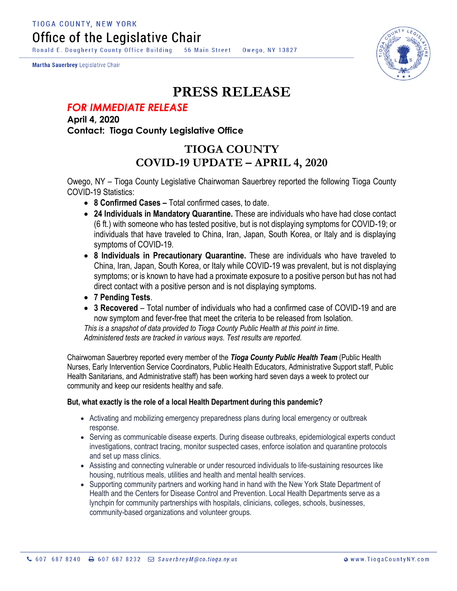**TIOGA COUNTY, NEW YORK** Office of the Legislative Chair

Ronald E. Dougherty County Office Building 56 Main Street Owego, NY 13827

Martha Sauerbrey Legislative Chair



## **PRESS RELEASE**

## *FOR IMMEDIATE RELEASE*

**April 4, 2020 Contact: Tioga County Legislative Office**

## **TIOGA COUNTY COVID-19 UPDATE – APRIL 4, 2020**

Owego, NY – Tioga County Legislative Chairwoman Sauerbrey reported the following Tioga County COVID-19 Statistics:

- **8 Confirmed Cases –** Total confirmed cases, to date.
- **24 Individuals in Mandatory Quarantine.** These are individuals who have had close contact (6 ft.) with someone who has tested positive, but is not displaying symptoms for COVID-19; or individuals that have traveled to China, Iran, Japan, South Korea, or Italy and is displaying symptoms of COVID-19.
- **8 Individuals in Precautionary Quarantine.** These are individuals who have traveled to China, Iran, Japan, South Korea, or Italy while COVID-19 was prevalent, but is not displaying symptoms; or is known to have had a proximate exposure to a positive person but has not had direct contact with a positive person and is not displaying symptoms.
- **7 Pending Tests**.
- **3 Recovered** Total number of individuals who had a confirmed case of COVID-19 and are now symptom and fever-free that meet the criteria to be released from Isolation.

*This is a snapshot of data provided to Tioga County Public Health at this point in time. Administered tests are tracked in various ways. Test results are reported.*

Chairwoman Sauerbrey reported every member of the *Tioga County Public Health Team* (Public Health Nurses, Early Intervention Service Coordinators, Public Health Educators, Administrative Support staff, Public Health Sanitarians, and Administrative staff) has been working hard seven days a week to protect our community and keep our residents healthy and safe.

## **But, what exactly is the role of a local Health Department during this pandemic?**

- Activating and mobilizing emergency preparedness plans during local emergency or outbreak response.
- Serving as communicable disease experts. During disease outbreaks, epidemiological experts conduct investigations, contract tracing, monitor suspected cases, enforce isolation and quarantine protocols and set up mass clinics.
- Assisting and connecting vulnerable or under resourced individuals to life-sustaining resources like housing, nutritious meals, utilities and health and mental health services.
- Supporting community partners and working hand in hand with the New York State Department of Health and the Centers for Disease Control and Prevention. Local Health Departments serve as a lynchpin for community partnerships with hospitals, clinicians, colleges, schools, businesses, community-based organizations and volunteer groups.